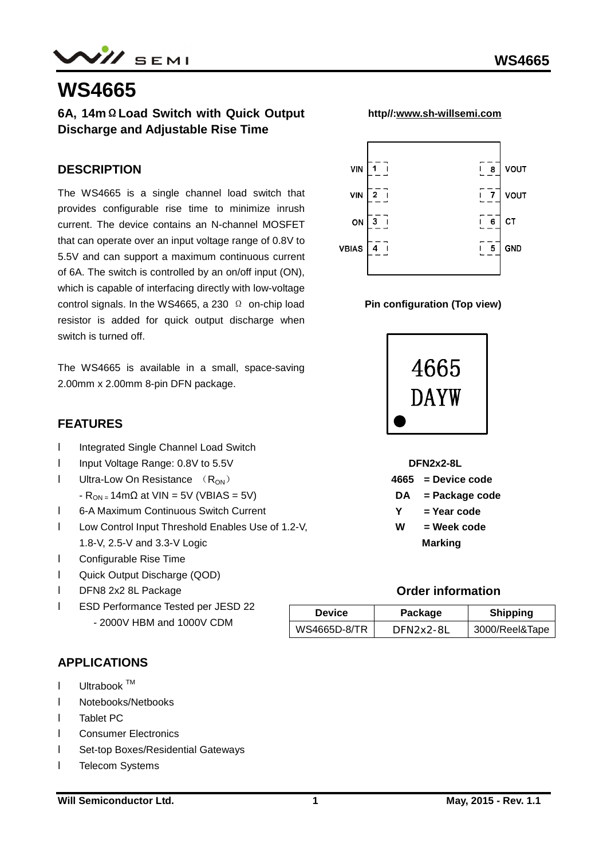## **WS4665**

## **6A, 14mΩLoad Switch with Quick Output Discharge and Adjustable Rise Time**

### **DESCRIPTION**

The WS4665 is a single channel load switch that provides configurable rise time to minimize inrush current. The device contains an N-channel MOSFET that can operate over an input voltage range of 0.8V to 5.5V and can support a maximum continuous current of 6A. The switch is controlled by an on/off input (ON), which is capable of interfacing directly with low-voltage control signals. In the WS4665, a 230  $\Omega$  on-chip load resistor is added for quick output discharge when switch is turned off.

The WS4665 is available in a small, space-saving 2.00mm x 2.00mm 8-pin DFN package.

#### **FEATURES**

- **I** Integrated Single Channel Load Switch
- **I** Input Voltage Range: 0.8V to 5.5V
- **I** Ultra-Low On Resistance  $(R_{ON})$ 
	- $-R_{ON} = 14 \text{m}\Omega$  at VIN = 5V (VBIAS = 5V)
- l 6-A Maximum Continuous Switch Current
- l Low Control Input Threshold Enables Use of 1.2-V, 1.8-V, 2.5-V and 3.3-V Logic
- l Configurable Rise Time
- l Quick Output Discharge (QOD)
- l DFN8 2x2 8L Package
- l ESD Performance Tested per JESD 22 - 2000V HBM and 1000V CDM

## **APPLICATIONS**

- $I$  Ultrabook  $TM$
- l Notebooks/Netbooks
- l Tablet PC
- l Consumer Electronics
- l Set-top Boxes/Residential Gateways
- **I** Telecom Systems



 **http//:[www.sh-willsemi.com](http://www.sh-willsemi.com)**







#### **Order information**

| <b>Device</b> | Package   | <b>Shipping</b> |  |  |
|---------------|-----------|-----------------|--|--|
| WS4665D-8/TR  | DFN2x2-8L | 3000/Reel&Tape  |  |  |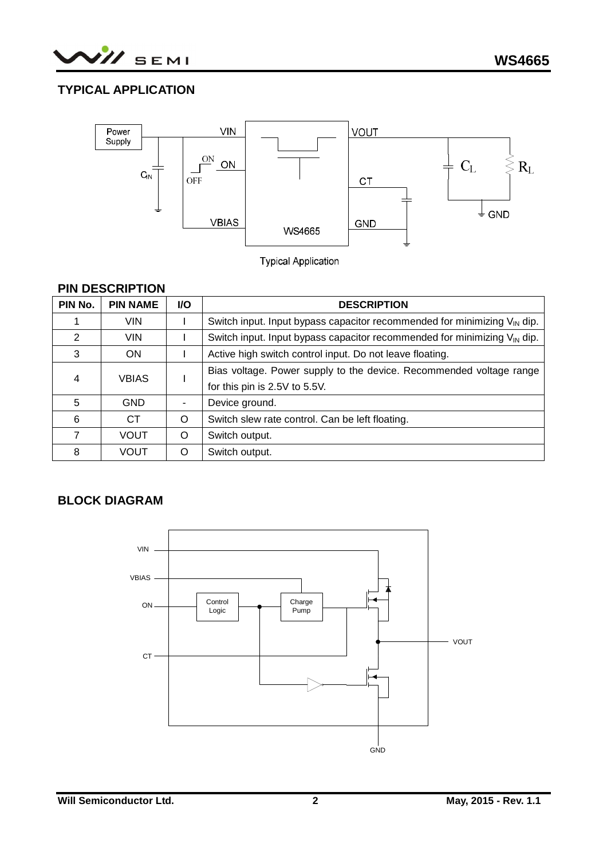

## **TYPICAL APPLICATION**



**Typical Application** 

#### **PIN DESCRIPTION**

| PIN No. | <b>PIN NAME</b> | <b>I/O</b> | <b>DESCRIPTION</b>                                                                   |
|---------|-----------------|------------|--------------------------------------------------------------------------------------|
|         | <b>VIN</b>      |            | Switch input. Input bypass capacitor recommended for minimizing $V_{\text{IN}}$ dip. |
| 2       | VIN.            |            | Switch input. Input bypass capacitor recommended for minimizing $V_{\text{IN}}$ dip. |
| 3       | <b>ON</b>       |            | Active high switch control input. Do not leave floating.                             |
| 4       | <b>VBIAS</b>    |            | Bias voltage. Power supply to the device. Recommended voltage range                  |
|         |                 |            | for this pin is 2.5V to 5.5V.                                                        |
| 5       | <b>GND</b>      |            | Device ground.                                                                       |
| 6       | <b>CT</b>       | O          | Switch slew rate control. Can be left floating.                                      |
| 7       | <b>VOUT</b>     | O          | Switch output.                                                                       |
| 8       | VOUT            | $\Omega$   | Switch output.                                                                       |

## **BLOCK DIAGRAM**

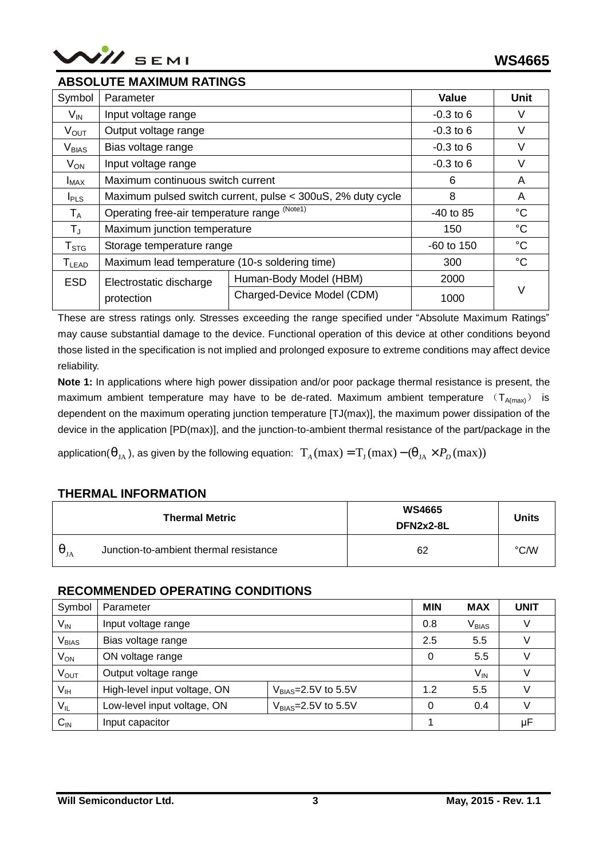

#### **ABSOLUTE MAXIMUM RATINGS**

| Symbol                 | Parameter                                                   | <b>Value</b>               | Unit        |             |
|------------------------|-------------------------------------------------------------|----------------------------|-------------|-------------|
| $V_{\text{IN}}$        | Input voltage range                                         |                            | $-0.3$ to 6 | V           |
| $V_{\text{OUT}}$       | Output voltage range                                        |                            | $-0.3$ to 6 | V           |
| V <sub>BIAS</sub>      | Bias voltage range                                          |                            | $-0.3$ to 6 | V           |
| $V_{ON}$               | Input voltage range                                         |                            | $-0.3$ to 6 | V           |
| $I_{MAX}$              | Maximum continuous switch current                           | 6                          | A           |             |
| I <sub>PLS</sub>       | Maximum pulsed switch current, pulse < 300uS, 2% duty cycle | 8                          | A           |             |
| $T_A$                  | Operating free-air temperature range (Note1)                | $-40$ to 85                | $^{\circ}C$ |             |
| $T_{\rm J}$            | Maximum junction temperature                                | 150                        | $^{\circ}C$ |             |
| ${\sf T}_{\text{STG}}$ | Storage temperature range                                   |                            | -60 to 150  | $^{\circ}C$ |
| $T_{LEAD}$             | Maximum lead temperature (10-s soldering time)              | 300                        | $^{\circ}C$ |             |
| <b>ESD</b>             | Electrostatic discharge                                     | 2000                       |             |             |
|                        | protection                                                  | Charged-Device Model (CDM) | 1000        | ٧           |

These are stress ratings only. Stresses exceeding the range specified under "Absolute Maximum Ratings" may cause substantial damage to the device. Functional operation of this device at other conditions beyond those listed in the specification is not implied and prolonged exposure to extreme conditions may affect device reliability.

**Note 1:** In applications where high power dissipation and/or poor package thermal resistance is present, the maximum ambient temperature may have to be de-rated. Maximum ambient temperature  $(T_{A(max)})$  is dependent on the maximum operating junction temperature [TJ(max)], the maximum power dissipation of the device in the application [PD(max)], and the junction-to-ambient thermal resistance of the part/package in the

application( $q_{JA}$ ), as given by the following equation:  $T_A(max) = T_J(max) - (q_{JA} \times P_D(max))$ 

#### **THERMAL INFORMATION**

|                                | <b>Thermal Metric</b>                  | <b>WS4665</b><br>DFN2x2-8L | <b>Units</b>  |
|--------------------------------|----------------------------------------|----------------------------|---------------|
| $q_{\scriptscriptstyle\rm JA}$ | Junction-to-ambient thermal resistance | 62                         | $\degree$ C/W |

#### **RECOMMENDED OPERATING CONDITIONS**

| Symbol                       | Parameter                    |                         | <b>MIN</b> | <b>MAX</b> | <b>UNIT</b> |
|------------------------------|------------------------------|-------------------------|------------|------------|-------------|
| $\mathsf{V}_{\mathsf{IN}}$   | Input voltage range          |                         |            |            |             |
| $\mathsf{V}_{\mathsf{BIAS}}$ | Bias voltage range           | 2.5                     | 5.5        |            |             |
| $V_{ON}$                     | ON voltage range             | 0                       | 5.5        |            |             |
| $V_{\text{OUT}}$             | Output voltage range         |                         | $V_{IN}$   |            |             |
| V <sub>IH</sub>              | High-level input voltage, ON | $V_{BIAS}=2.5V$ to 5.5V | 1.2        | 5.5        |             |
| $V_{IL}$                     | Low-level input voltage, ON  | $V_{BIAS}=2.5V$ to 5.5V | 0          | 0.4        |             |
| $C_{\sf IN}$                 | Input capacitor              |                         |            |            | μF          |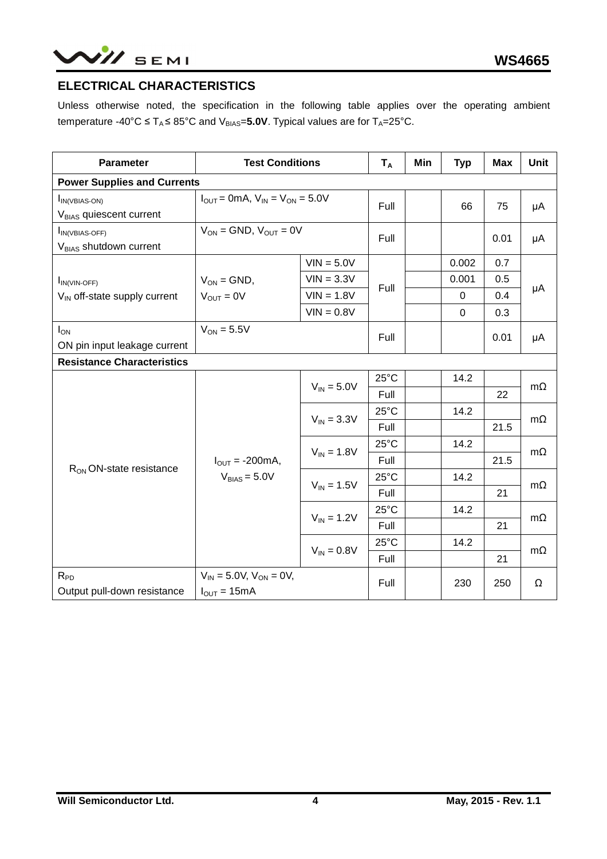# $N\!$  SEMI

## **ELECTRICAL CHARACTERISTICS**

Unless otherwise noted, the specification in the following table applies over the operating ambient temperature -40°C  $\leq$  T<sub>A</sub> $\leq$  85°C and V<sub>BIAS</sub>=5.0V. Typical values are for T<sub>A</sub>=25°C.

| <b>Parameter</b>                                             | <b>Test Conditions</b>                              | $T_A$           | Min            | <b>Typ</b> | <b>Max</b>  | <b>Unit</b> |           |  |
|--------------------------------------------------------------|-----------------------------------------------------|-----------------|----------------|------------|-------------|-------------|-----------|--|
| <b>Power Supplies and Currents</b>                           |                                                     |                 |                |            |             |             |           |  |
| <b>I</b> IN(VBIAS-ON)<br>V <sub>BIAS</sub> quiescent current | $I_{OUT} = 0mA$ , $V_{IN} = V_{ON} = 5.0V$          | Full            |                | 66         | 75          | μA          |           |  |
| $I_{IN(VBIAS-OFF)}$<br>V <sub>BIAS</sub> shutdown current    | $V_{ON}$ = GND, $V_{OUT}$ = 0V                      | Full            |                |            | 0.01        | μA          |           |  |
|                                                              |                                                     | $VIN = 5.0V$    |                |            | 0.002       | 0.7         |           |  |
| $I_{IN(VIN-OFF)}$                                            | $VIN = 3.3V$<br>$V_{ON} = GND$ ,                    |                 | Full           |            | 0.001       | 0.5         |           |  |
| $V_{IN}$ off-state supply current                            | $V_{\text{OUT}} = 0V$                               | $VIN = 1.8V$    |                |            | $\mathbf 0$ | 0.4         | μA        |  |
|                                                              |                                                     | $VIN = 0.8V$    |                |            | $\Omega$    | 0.3         |           |  |
| $I_{ON}$<br>ON pin input leakage current                     | $V_{ON} = 5.5V$                                     | Full            |                |            | 0.01        | μA          |           |  |
| <b>Resistance Characteristics</b>                            |                                                     |                 |                |            |             |             |           |  |
|                                                              |                                                     | $V_{IN} = 5.0V$ | $25^{\circ}$ C |            | 14.2        |             | $m\Omega$ |  |
|                                                              |                                                     |                 | Full           |            |             | 22          |           |  |
|                                                              |                                                     | $V_{IN} = 3.3V$ | $25^{\circ}$ C |            | 14.2        |             |           |  |
|                                                              |                                                     |                 | Full           |            |             | 21.5        | $m\Omega$ |  |
|                                                              |                                                     | $V_{IN} = 1.8V$ | $25^{\circ}$ C |            | 14.2        |             | $m\Omega$ |  |
|                                                              | $I_{\text{OUT}} = -200 \text{mA}$ ,                 |                 | Full           |            |             | 21.5        |           |  |
| R <sub>ON</sub> ON-state resistance                          | $V_{BIAS} = 5.0V$                                   |                 | $25^{\circ}$ C |            | 14.2        |             |           |  |
|                                                              |                                                     | $V_{IN} = 1.5V$ | Full           |            |             | 21          | $m\Omega$ |  |
|                                                              |                                                     |                 | $25^{\circ}$ C |            | 14.2        |             |           |  |
|                                                              |                                                     | $V_{IN} = 1.2V$ | Full           |            |             | 21          | mΩ        |  |
|                                                              |                                                     |                 | $25^{\circ}$ C |            | 14.2        |             |           |  |
|                                                              |                                                     | $V_{IN} = 0.8V$ | Full           |            |             | 21          | $m\Omega$ |  |
| $R_{PD}$<br>Output pull-down resistance                      | $V_{IN} = 5.0 V, V_{ON} = 0 V,$<br>$I_{OUT} = 15mA$ |                 | Full           |            | 230         | 250         | Ω         |  |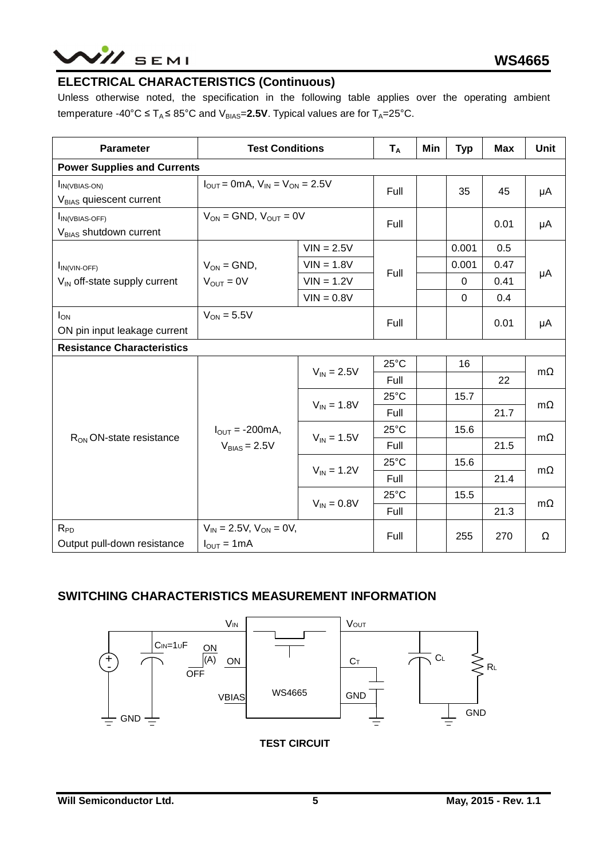# NII SEMI

## **ELECTRICAL CHARACTERISTICS (Continuous)**

Unless otherwise noted, the specification in the following table applies over the operating ambient temperature -40°C  $\leq T_A \leq 85$ °C and V<sub>BIAS</sub>=2.5V. Typical values are for T<sub>A</sub>=25°C.

| <b>Parameter</b>                                           | <b>Test Conditions</b>                                            | $T_A$           | Min            | <b>Typ</b> | Max      | <b>Unit</b> |           |
|------------------------------------------------------------|-------------------------------------------------------------------|-----------------|----------------|------------|----------|-------------|-----------|
| <b>Power Supplies and Currents</b>                         |                                                                   |                 |                |            |          |             |           |
| $I_{IN(VBIAS-ON)}$<br>V <sub>BIAS</sub> quiescent current  | $I_{OIII}$ = 0mA, $V_{IN}$ = $V_{ON}$ = 2.5V                      | Full            |                | 35         | 45       | μA          |           |
| <b>IN(VBIAS-OFF)</b><br>V <sub>BIAS</sub> shutdown current | $V_{ON}$ = GND, $V_{OUT}$ = 0V                                    | Full            |                |            | 0.01     | μA          |           |
|                                                            |                                                                   | $VIN = 2.5V$    |                |            | 0.001    | 0.5         |           |
| $I_{IN(VIN-OFF)}$                                          | $V_{ON}$ = GND,<br>$VIN = 1.8V$                                   |                 | Full           |            | 0.001    | 0.47        |           |
| $V_{\text{IN}}$ off-state supply current                   | $V_{\text{OUT}} = 0V$                                             | $VIN = 1.2V$    |                |            | $\Omega$ | 0.41        | μA        |
|                                                            |                                                                   | $VIN = 0.8V$    |                |            | 0        | 0.4         |           |
| $I_{ON}$<br>ON pin input leakage current                   | $V_{ON} = 5.5V$                                                   | Full            |                |            | 0.01     | μA          |           |
| <b>Resistance Characteristics</b>                          |                                                                   |                 |                |            |          |             |           |
|                                                            |                                                                   | $V_{IN} = 2.5V$ | $25^{\circ}$ C |            | 16       |             | $m\Omega$ |
|                                                            |                                                                   |                 | Full           |            |          | 22          |           |
|                                                            |                                                                   | $V_{IN} = 1.8V$ | $25^{\circ}$ C |            | 15.7     |             | $m\Omega$ |
|                                                            |                                                                   |                 | Full           |            |          | 21.7        |           |
| $R_{ON}$ ON-state resistance                               | $I_{\text{OUT}} = -200 \text{mA}$ ,                               | $V_{IN} = 1.5V$ | $25^{\circ}$ C |            | 15.6     |             | $m\Omega$ |
|                                                            | $V_{BIAS} = 2.5V$                                                 |                 | Full           |            |          | 21.5        |           |
|                                                            |                                                                   | $V_{IN} = 1.2V$ | $25^{\circ}$ C |            | 15.6     |             | $m\Omega$ |
|                                                            |                                                                   |                 | Full           |            |          | 21.4        |           |
|                                                            |                                                                   | $V_{IN} = 0.8V$ | $25^{\circ}$ C |            | 15.5     |             | $m\Omega$ |
|                                                            |                                                                   |                 | Full           |            |          | 21.3        |           |
| $R_{PD}$<br>Output pull-down resistance                    | $V_{IN}$ = 2.5V, $V_{ON}$ = 0V,<br>$I_{\text{OUT}} = 1 \text{mA}$ |                 | Full           |            | 255      | 270         | Ω         |

## **SWITCHING CHARACTERISTICS MEASUREMENT INFORMATION**



**TEST CIRCUIT**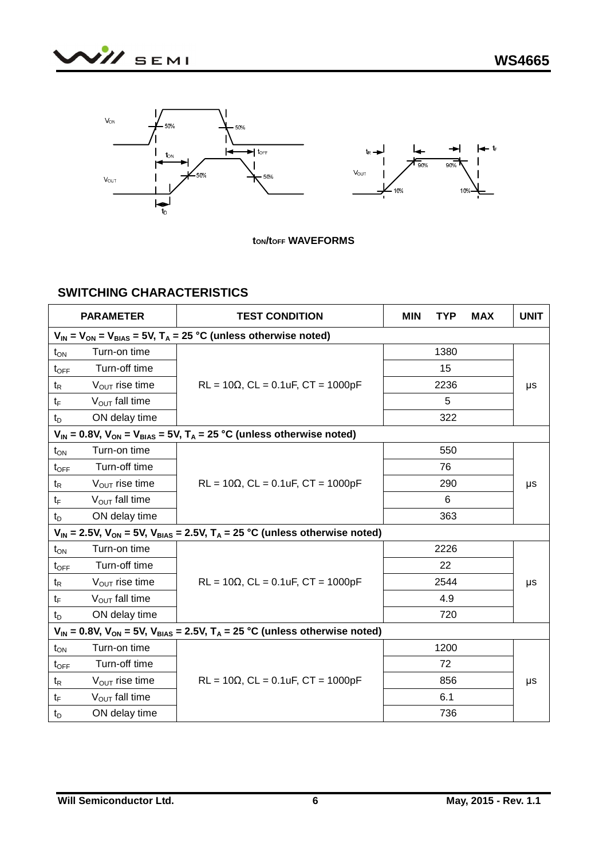



**tON/tOFF WAVEFORMS** 

## **SWITCHING CHARACTERISTICS**

|                  | <b>PARAMETER</b>           | <b>TEST CONDITION</b>                                                                        | <b>MIN</b> | <b>TYP</b> | <b>MAX</b> | <b>UNIT</b> |
|------------------|----------------------------|----------------------------------------------------------------------------------------------|------------|------------|------------|-------------|
|                  |                            | $V_{IN}$ = $V_{ON}$ = $V_{BIAS}$ = 5V, T <sub>A</sub> = 25 °C (unless otherwise noted)       |            |            |            |             |
| $t_{ON}$         | Turn-on time               |                                                                                              |            | 1380       |            |             |
| $t_{\text{OFF}}$ | Turn-off time              |                                                                                              |            | 15         |            |             |
| $t_{\mathsf{R}}$ | $V_{\text{OUT}}$ rise time | $RL = 10\Omega$ , $CL = 0.1uF$ , $CT = 1000pF$                                               |            | 2236       |            | μs          |
| $t_{\mathsf{F}}$ | $V_{OUT}$ fall time        |                                                                                              |            | 5          |            |             |
| $t_D$            | ON delay time              |                                                                                              |            | 322        |            |             |
|                  |                            | $V_{IN}$ = 0.8V, $V_{ON}$ = $V_{BIAS}$ = 5V, T <sub>A</sub> = 25 °C (unless otherwise noted) |            |            |            |             |
| $t_{ON}$         | Turn-on time               |                                                                                              |            | 550        |            |             |
| $t_{\text{OFF}}$ | Turn-off time              |                                                                                              |            | 76         |            |             |
| $t_{\mathsf{R}}$ | $V_{\text{OUT}}$ rise time | $RL = 10\Omega$ , $CL = 0.1uF$ , $CT = 1000pF$                                               |            | 290        |            | μs          |
| tF               | $V_{OUT}$ fall time        |                                                                                              |            | 6          |            |             |
| $t_{\mathsf{D}}$ | ON delay time              |                                                                                              |            | 363        |            |             |
|                  |                            | $V_{IN}$ = 2.5V, $V_{ON}$ = 5V, $V_{BIAS}$ = 2.5V, $T_A$ = 25 °C (unless otherwise noted)    |            |            |            |             |
| $t_{ON}$         | Turn-on time               |                                                                                              |            | 2226       |            |             |
| $t_{\text{OFF}}$ | Turn-off time              |                                                                                              |            | 22         |            |             |
| $t_{\mathsf{R}}$ | $V_{\text{OUT}}$ rise time | $RL = 10\Omega$ , $CL = 0.1uF$ , $CT = 1000pF$                                               |            | 2544       |            | μs          |
| $t_{\mathsf{F}}$ | $V_{OUT}$ fall time        |                                                                                              |            | 4.9        |            |             |
| $t_{\text{D}}$   | ON delay time              |                                                                                              |            | 720        |            |             |
|                  |                            | $V_{IN}$ = 0.8V, $V_{ON}$ = 5V, $V_{BIAS}$ = 2.5V, $T_A$ = 25 °C (unless otherwise noted)    |            |            |            |             |
| $t_{ON}$         | Turn-on time               |                                                                                              |            | 1200       |            |             |
| $t_{\text{OFF}}$ | Turn-off time              |                                                                                              |            | 72         |            |             |
| $t_{\mathsf{R}}$ | $V_{\text{OUT}}$ rise time | $RL = 10\Omega$ , $CL = 0.1uF$ , $CT = 1000pF$                                               |            | 856        |            | μs          |
| $t_{\mathsf{F}}$ | $V_{OUT}$ fall time        |                                                                                              |            | 6.1        |            |             |
| $t_{\rm D}$      | ON delay time              |                                                                                              |            | 736        |            |             |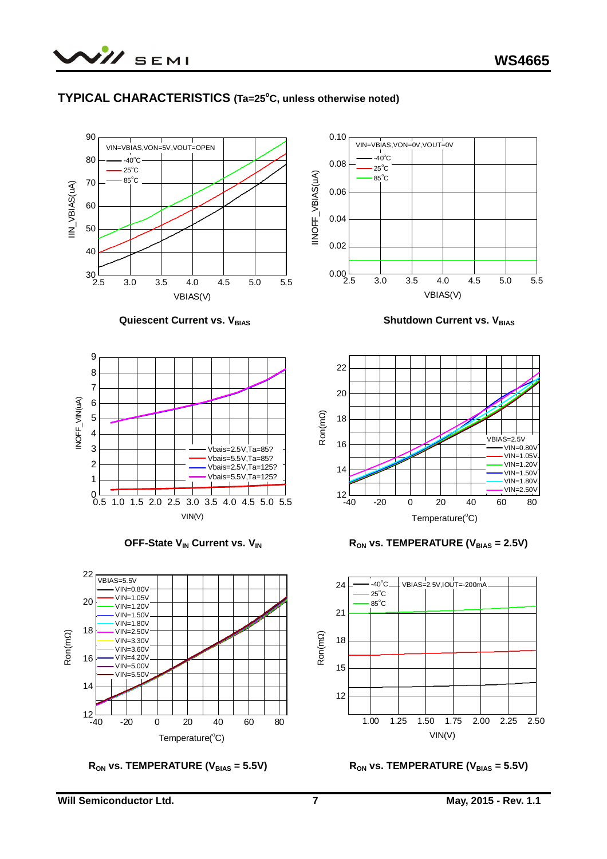

#### **TYPICAL CHARACTERISTICS (Ta=25<sup>o</sup>C, unless otherwise noted)**



1.00 1.25 1.50 1.75 2.00 2.25 2.50 12 VIN(V)



 $12\frac{L}{-40}$ 

-40 -20 0 20 40 60 80

Temperature( $^{\circ}$ C)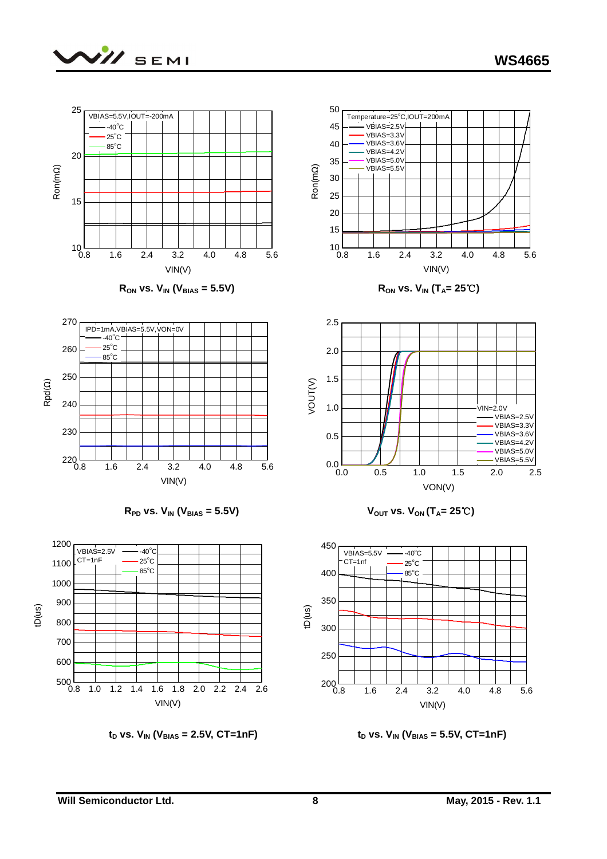

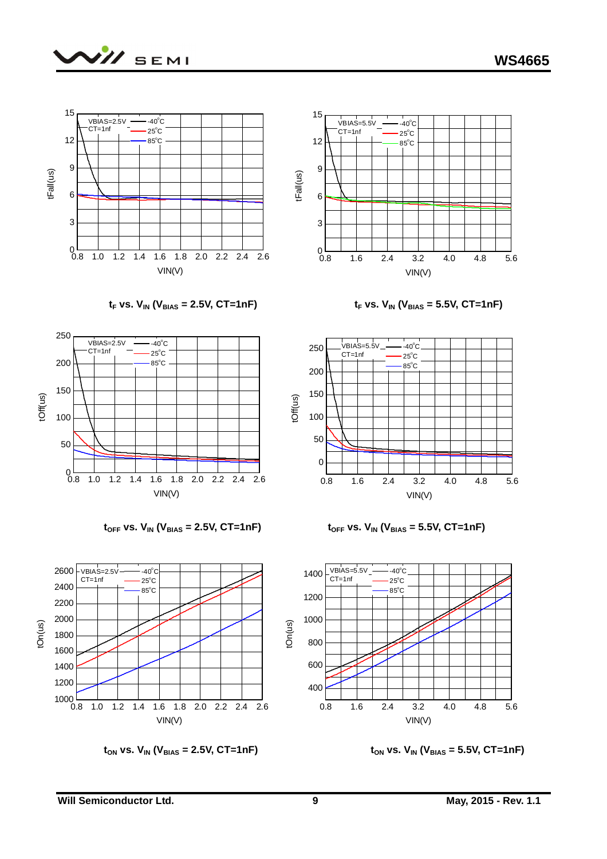









 $t_{ON}$  vs.  $V_{IN}$  ( $V_{BIAS}$  = 2.5V, CT=1nF)  $t_{ON}$  vs.  $V_{IN}$  ( $V_{BIAS}$  = 5.5V, CT=1nF)



 $t_F$  **vs.**  $V_{IN}$  ( $V_{BIAS}$  = 2.5V, CT=1nF)  $t_F$  **vs.**  $V_{IN}$  ( $V_{BIAS}$  = 5.5V, CT=1nF)



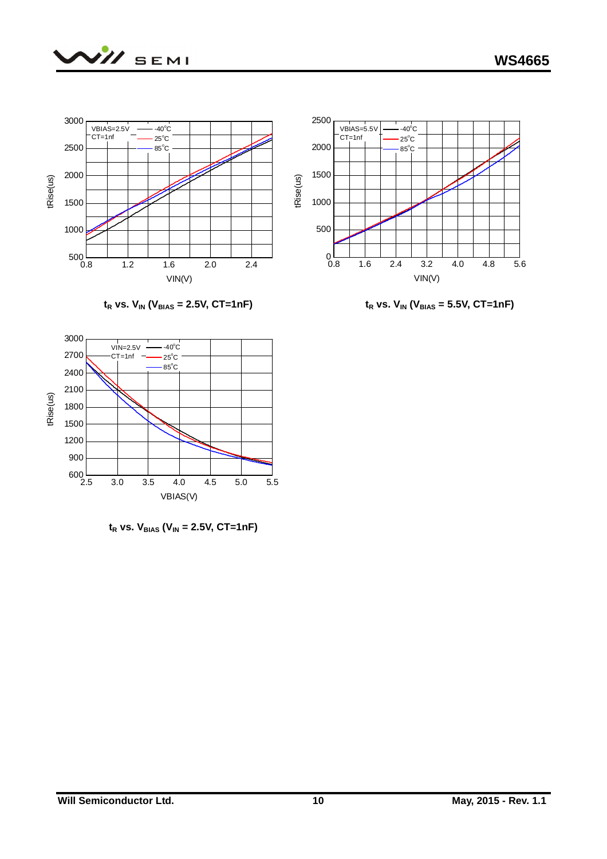





 $t_R$  **vs.**  $V_{IN}$  ( $V_{BIAS}$  = 2.5V, CT=1nF)  $t_R$  **vs.**  $V_{IN}$  ( $V_{BIAS}$  = 5.5V, CT=1nF)



 $t_R$  vs.  $V_{BIAS}$  ( $V_{IN}$  = 2.5V, CT=1nF)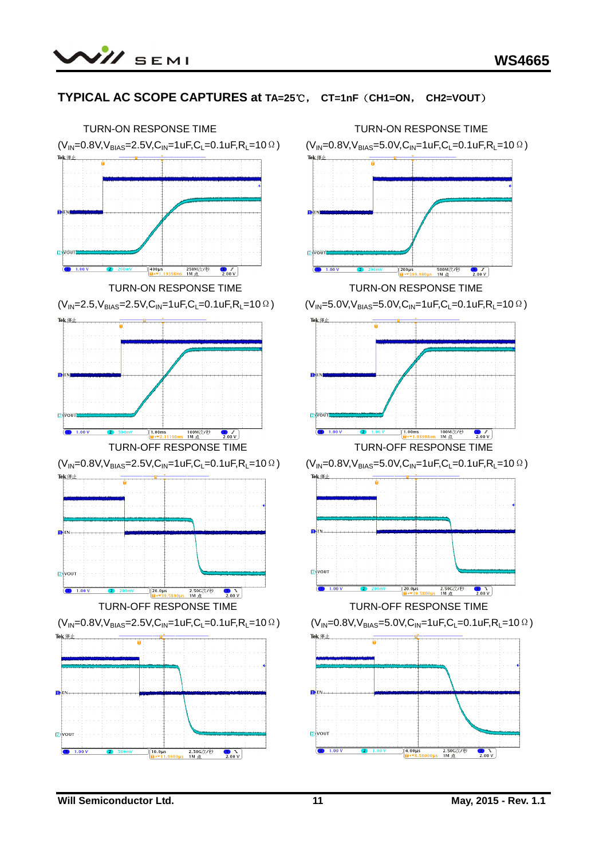

### **TYPICAL AC SCOPE CAPTURES at TA=25℃, CT=1nF(CH1=ON, CH2=VOUT)**

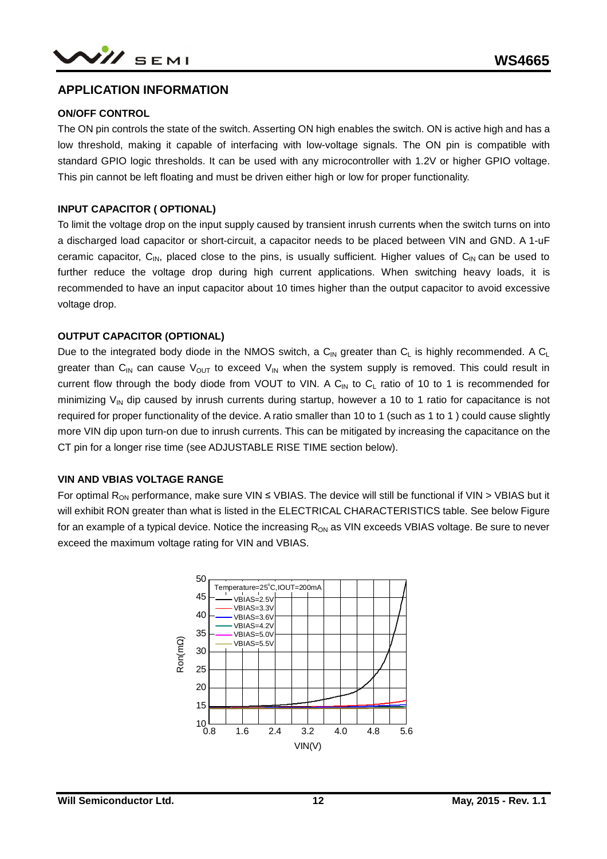### **APPLICATION INFORMATION**

#### **ON/OFF CONTROL**

The ON pin controls the state of the switch. Asserting ON high enables the switch. ON is active high and has a low threshold, making it capable of interfacing with low-voltage signals. The ON pin is compatible with standard GPIO logic thresholds. It can be used with any microcontroller with 1.2V or higher GPIO voltage. This pin cannot be left floating and must be driven either high or low for proper functionality.

#### **INPUT CAPACITOR ( OPTIONAL)**

To limit the voltage drop on the input supply caused by transient inrush currents when the switch turns on into a discharged load capacitor or short-circuit, a capacitor needs to be placed between VIN and GND. A 1-uF ceramic capacitor,  $C_{IN}$ , placed close to the pins, is usually sufficient. Higher values of  $C_{IN}$  can be used to further reduce the voltage drop during high current applications. When switching heavy loads, it is recommended to have an input capacitor about 10 times higher than the output capacitor to avoid excessive voltage drop.

#### **OUTPUT CAPACITOR (OPTIONAL)**

Due to the integrated body diode in the NMOS switch, a  $C_{\text{IN}}$  greater than  $C_{\text{L}}$  is highly recommended. A  $C_{\text{L}}$ greater than C<sub>IN</sub> can cause V<sub>OUT</sub> to exceed V<sub>IN</sub> when the system supply is removed. This could result in current flow through the body diode from VOUT to VIN. A  $C_{IN}$  to  $C_L$  ratio of 10 to 1 is recommended for minimizing  $V_{\text{IN}}$  dip caused by inrush currents during startup, however a 10 to 1 ratio for capacitance is not required for proper functionality of the device. A ratio smaller than 10 to 1 (such as 1 to 1 ) could cause slightly more VIN dip upon turn-on due to inrush currents. This can be mitigated by increasing the capacitance on the CT pin for a longer rise time (see ADJUSTABLE RISE TIME section below).

#### **VIN AND VBIAS VOLTAGE RANGE**

For optimal R<sub>ON</sub> performance, make sure VIN  $\leq$  VBIAS. The device will still be functional if VIN > VBIAS but it will exhibit RON greater than what is listed in the ELECTRICAL CHARACTERISTICS table. See below Figure for an example of a typical device. Notice the increasing  $R_{ON}$  as VIN exceeds VBIAS voltage. Be sure to never exceed the maximum voltage rating for VIN and VBIAS.

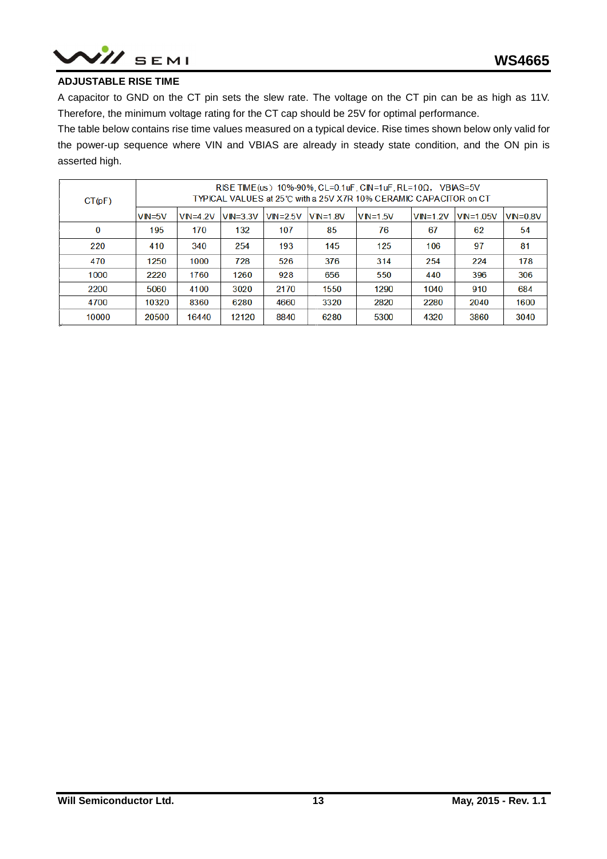

#### **ADJUSTABLE RISE TIME**

A capacitor to GND on the CT pin sets the slew rate. The voltage on the CT pin can be as high as 11V. Therefore, the minimum voltage rating for the CT cap should be 25V for optimal performance.

The table below contains rise time values measured on a typical device. Rise times shown below only valid for the power-up sequence where VIN and VBIAS are already in steady state condition, and the ON pin is asserted high.

| CT(pF) | RISE TIME(us) 10%-90%, CL=0.1uF, CIN=1uF, RL=10 $\Omega$ , VBIAS=5V<br>TYPICAL VALUES at 25℃ with a 25V X7R 10% CERAMIC CAPACITOR on CT |              |              |              |              |              |            |               |              |
|--------|-----------------------------------------------------------------------------------------------------------------------------------------|--------------|--------------|--------------|--------------|--------------|------------|---------------|--------------|
|        | IVIN=5V                                                                                                                                 | $VIN = 4.2V$ | $VIN = 3.3V$ | $VIN = 2.5V$ | $VIN = 1.8V$ | $VIN = 1.5V$ | $VIN=1.2V$ | $VIN = 1.05V$ | $VIN = 0.8V$ |
| 0      | 195                                                                                                                                     | 170          | 132          | 107          | 85           | 76           | 67         | 62            | 54           |
| 220    | 410                                                                                                                                     | 340          | 254          | 193          | 145          | 125          | 106        | 97            | 81           |
| 470    | 1250                                                                                                                                    | 1000         | 728          | 526          | 376          | 314          | 254        | 224           | 178          |
| 1000   | 2220                                                                                                                                    | 1760         | 1260         | 928          | 656          | 550          | 440        | 396           | 306          |
| 2200   | 5060                                                                                                                                    | 4100         | 3020         | 2170         | 1550         | 1290         | 1040       | 910           | 684          |
| 4700   | 10320                                                                                                                                   | 8360         | 6280         | 4660         | 3320         | 2820         | 2280       | 2040          | 1600         |
| 10000  | 20500                                                                                                                                   | 16440        | 12120        | 8840         | 6280         | 5300         | 4320       | 3860          | 3040         |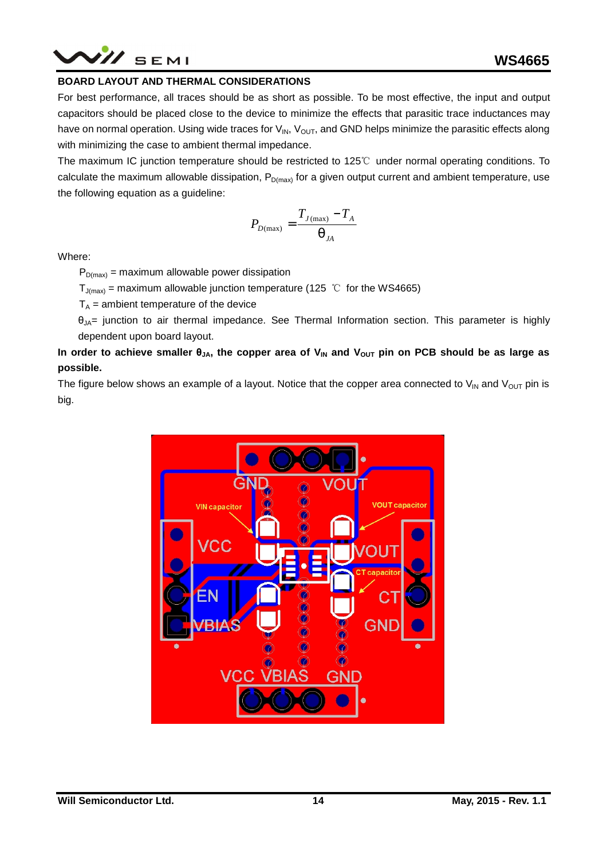## /// SEMI

#### **BOARD LAYOUT AND THERMAL CONSIDERATIONS**

For best performance, all traces should be as short as possible. To be most effective, the input and output capacitors should be placed close to the device to minimize the effects that parasitic trace inductances may have on normal operation. Using wide traces for  $V_{IN}$ ,  $V_{OUT}$ , and GND helps minimize the parasitic effects along with minimizing the case to ambient thermal impedance.

The maximum IC junction temperature should be restricted to 125℃ under normal operating conditions. To calculate the maximum allowable dissipation,  $P_{D(max)}$  for a given output current and ambient temperature, use the following equation as a guideline:

$$
P_{D(\max)} = \frac{T_{J(\max)} - T_A}{q_{JA}}
$$

Where:

 $P_{D(max)}$  = maximum allowable power dissipation

 $T_{J(max)}$  = maximum allowable junction temperature (125 °C for the WS4665)

 $T_A$  = ambient temperature of the device

 $\theta_{JA}$ = junction to air thermal impedance. See Thermal Information section. This parameter is highly dependent upon board layout.

#### In order to achieve smaller  $\theta_{JA}$ , the copper area of  $V_{IN}$  and  $V_{OUT}$  pin on PCB should be as large as **possible.**

The figure below shows an example of a layout. Notice that the copper area connected to  $V_{IN}$  and  $V_{OUT}$  pin is big.